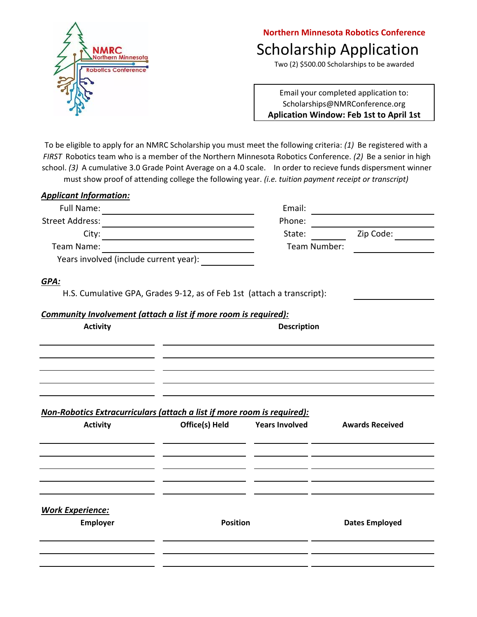

## Scholarship Application **Northern Minnesota Robotics Conference**

Two (2) \$500.00 Scholarships to be awarded

Email your completed application to: Scholarships@NMRConference.org **Aplication Window: Feb 1st to April 1st**

To be eligible to apply for an NMRC Scholarship you must meet the following criteria: *(1)* Be registered with a *FIRST* Robotics team who is a member of the Northern Minnesota Robotics Conference. *(2)* Be a senior in high school. *(3)* A cumulative 3.0 Grade Point Average on a 4.0 scale. In order to recieve funds dispersment winner must show proof of attending college the following year. *(i.e. tuition payment receipt or transcript)* 

| <b>Applicant Information:</b>                                           |                    |              |                                |  |
|-------------------------------------------------------------------------|--------------------|--------------|--------------------------------|--|
|                                                                         |                    | Email:       |                                |  |
|                                                                         |                    | Phone:       |                                |  |
|                                                                         |                    | State:       | Zip Code:                      |  |
|                                                                         |                    | Team Number: |                                |  |
| Years involved (include current year):                                  |                    |              |                                |  |
| GPA:                                                                    |                    |              |                                |  |
| H.S. Cumulative GPA, Grades 9-12, as of Feb 1st (attach a transcript):  |                    |              |                                |  |
| Community Involvement (attach a list if more room is required):         |                    |              |                                |  |
| <b>Activity</b>                                                         | <b>Description</b> |              |                                |  |
|                                                                         |                    |              |                                |  |
|                                                                         |                    |              |                                |  |
|                                                                         |                    |              |                                |  |
|                                                                         |                    |              |                                |  |
| Non-Robotics Extracurriculars (attach a list if more room is required): |                    |              |                                |  |
| <b>Activity</b>                                                         | Office(s) Held     |              | Years Involved Awards Received |  |
|                                                                         |                    |              |                                |  |
|                                                                         |                    |              |                                |  |
|                                                                         |                    |              |                                |  |
|                                                                         |                    |              |                                |  |
| <b>Work Experience:</b>                                                 |                    |              |                                |  |
| Employer                                                                | <b>Position</b>    |              | <b>Dates Employed</b>          |  |
|                                                                         |                    |              |                                |  |
|                                                                         |                    |              |                                |  |
|                                                                         |                    |              |                                |  |